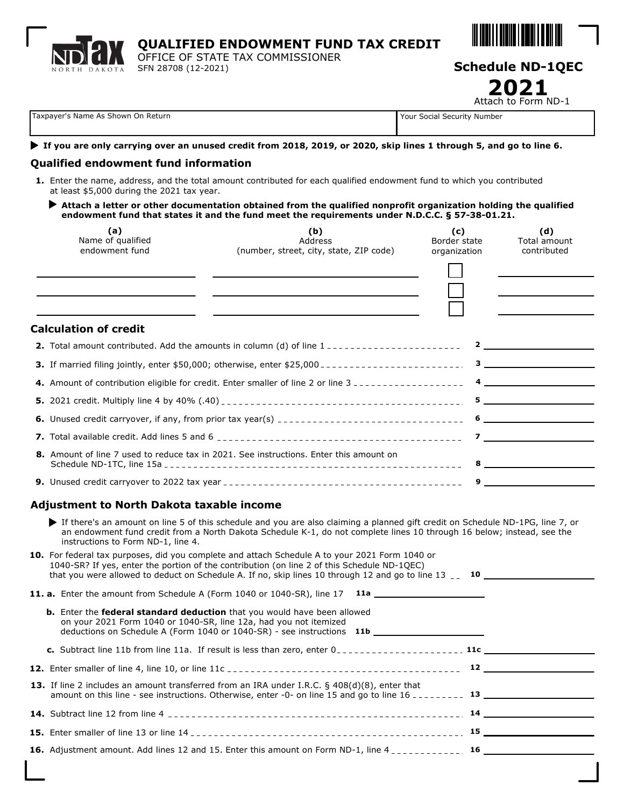| ND <b>JAX</b> | <b>QUALIFIED ENDOWMENT FUND TAX CREDIT</b>                                  |                         |
|---------------|-----------------------------------------------------------------------------|-------------------------|
|               | OFFICE OF STATE TAX COMMISSIONER<br>NORTH DAKOTA <b>SFN 28708 (12-2021)</b> | <b>Schedule ND-1QEC</b> |

Attach to Form ND-1 **2021**

| Taxpayer's Name As Shown On Return |  |  |  |  |  |
|------------------------------------|--|--|--|--|--|
|------------------------------------|--|--|--|--|--|

Your Social Security Number

#### **If you are only carrying over an unused credit from 2018, 2019, or 2020, skip lines 1 through 5, and go to line 6.**

#### **Qualified endowment fund information**

- **1.** Enter the name, address, and the total amount contributed for each qualified endowment fund to which you contributed at least \$5,000 during the 2021 tax year.
	- **Attach a letter or other documentation obtained from the qualified nonprofit organization holding the qualified endowment fund that states it and the fund meet the requirements under N.D.C.C. § 57-38-01.21.**

| (a)<br>Name of qualified<br>endowment fund       | (b)<br>Address<br>(number, street, city, state, ZIP code)                                                                                                                                                                                                                                                      | (c)<br>Border state<br>organization | (d)<br>Total amount<br>contributed                                                                                                                                                                                                                                                                                                                                                                                                                                    |
|--------------------------------------------------|----------------------------------------------------------------------------------------------------------------------------------------------------------------------------------------------------------------------------------------------------------------------------------------------------------------|-------------------------------------|-----------------------------------------------------------------------------------------------------------------------------------------------------------------------------------------------------------------------------------------------------------------------------------------------------------------------------------------------------------------------------------------------------------------------------------------------------------------------|
|                                                  | <u> 1980 - Johann Stein, marwolaethau a bhann an t-Amhainn an t-Amhainn an t-Amhainn an t-Amhainn an t-Amhainn an</u>                                                                                                                                                                                          |                                     |                                                                                                                                                                                                                                                                                                                                                                                                                                                                       |
| <b>Calculation of credit</b>                     |                                                                                                                                                                                                                                                                                                                |                                     |                                                                                                                                                                                                                                                                                                                                                                                                                                                                       |
|                                                  | 2. Total amount contributed. Add the amounts in column (d) of line 1 -----------------------                                                                                                                                                                                                                   |                                     | $\overline{\mathbf{2}}$                                                                                                                                                                                                                                                                                                                                                                                                                                               |
|                                                  |                                                                                                                                                                                                                                                                                                                |                                     | $3 \overline{\phantom{a}}$                                                                                                                                                                                                                                                                                                                                                                                                                                            |
|                                                  | 4. Amount of contribution eligible for credit. Enter smaller of line 2 or line 3                                                                                                                                                                                                                               |                                     | $\overline{4}$ $\overline{2}$ $\overline{4}$ $\overline{2}$ $\overline{4}$ $\overline{2}$ $\overline{4}$ $\overline{2}$ $\overline{2}$ $\overline{2}$ $\overline{2}$ $\overline{2}$ $\overline{2}$ $\overline{2}$ $\overline{2}$ $\overline{2}$ $\overline{2}$ $\overline{2}$ $\overline{2}$ $\overline{2}$ $\overline{2}$ $\overline{2}$ $\overline{2}$ $\overline{2}$ $\overline{$                                                                                  |
|                                                  |                                                                                                                                                                                                                                                                                                                |                                     | $5$ $\overline{\phantom{a}}$ $\overline{\phantom{a}}$ $\overline{\phantom{a}}$ $\overline{\phantom{a}}$ $\overline{\phantom{a}}$ $\overline{\phantom{a}}$ $\overline{\phantom{a}}$ $\overline{\phantom{a}}$ $\overline{\phantom{a}}$ $\overline{\phantom{a}}$ $\overline{\phantom{a}}$ $\overline{\phantom{a}}$ $\overline{\phantom{a}}$ $\overline{\phantom{a}}$ $\overline{\phantom{a}}$ $\overline{\phantom{a}}$ $\overline{\phantom{a}}$ $\overline{\phantom{a}}$ |
|                                                  |                                                                                                                                                                                                                                                                                                                |                                     | $\overline{\phantom{a}}$ 6 $\overline{\phantom{a}}$ 6 $\overline{\phantom{a}}$ 6 $\overline{\phantom{a}}$ 6 $\overline{\phantom{a}}$ 6 $\overline{\phantom{a}}$ 6 $\overline{\phantom{a}}$ 6 $\overline{\phantom{a}}$ 6 $\overline{\phantom{a}}$ 6 $\overline{\phantom{a}}$ 6 $\overline{\phantom{a}}$ 6 $\overline{\phantom{a}}$ 6 $\overline{\phantom{a}}$ 6 $\overline{\phantom{a}}$ 6 $\overline{\phantom{a}}$ 6 $\overline{\phantom{a}}$                         |
|                                                  |                                                                                                                                                                                                                                                                                                                |                                     |                                                                                                                                                                                                                                                                                                                                                                                                                                                                       |
|                                                  | 8. Amount of line 7 used to reduce tax in 2021. See instructions. Enter this amount on                                                                                                                                                                                                                         |                                     | $8 - 10$                                                                                                                                                                                                                                                                                                                                                                                                                                                              |
|                                                  |                                                                                                                                                                                                                                                                                                                |                                     |                                                                                                                                                                                                                                                                                                                                                                                                                                                                       |
| <b>Adjustment to North Dakota taxable income</b> |                                                                                                                                                                                                                                                                                                                |                                     |                                                                                                                                                                                                                                                                                                                                                                                                                                                                       |
| instructions to Form ND-1, line 4.               | If there's an amount on line 5 of this schedule and you are also claiming a planned gift credit on Schedule ND-1PG, line 7, or<br>an endowment fund credit from a North Dakota Schedule K-1, do not complete lines 10 through 16 below; instead, see the                                                       |                                     |                                                                                                                                                                                                                                                                                                                                                                                                                                                                       |
|                                                  | 10. For federal tax purposes, did you complete and attach Schedule A to your 2021 Form 1040 or<br>1040-SR? If yes, enter the portion of the contribution (on line 2 of this Schedule ND-1QEC)<br>that you were allowed to deduct on Schedule A. If no, skip lines 10 through 12 and go to line 13 __ 10 ______ |                                     |                                                                                                                                                                                                                                                                                                                                                                                                                                                                       |
|                                                  | 11. a. Enter the amount from Schedule A (Form 1040 or 1040-SR), line 17 11a ________________________                                                                                                                                                                                                           |                                     |                                                                                                                                                                                                                                                                                                                                                                                                                                                                       |
|                                                  | <b>b.</b> Enter the <b>federal standard deduction</b> that you would have been allowed<br>on your 2021 Form 1040 or 1040-SR, line 12a, had you not itemized<br>deductions on Schedule A (Form 1040 or 1040-SR) - see instructions 11b _____________________________                                            |                                     |                                                                                                                                                                                                                                                                                                                                                                                                                                                                       |
|                                                  |                                                                                                                                                                                                                                                                                                                |                                     |                                                                                                                                                                                                                                                                                                                                                                                                                                                                       |
|                                                  |                                                                                                                                                                                                                                                                                                                |                                     |                                                                                                                                                                                                                                                                                                                                                                                                                                                                       |
|                                                  | 13. If line 2 includes an amount transferred from an IRA under I.R.C. $\S$ 408(d)(8), enter that                                                                                                                                                                                                               |                                     |                                                                                                                                                                                                                                                                                                                                                                                                                                                                       |
|                                                  |                                                                                                                                                                                                                                                                                                                |                                     |                                                                                                                                                                                                                                                                                                                                                                                                                                                                       |
|                                                  |                                                                                                                                                                                                                                                                                                                |                                     |                                                                                                                                                                                                                                                                                                                                                                                                                                                                       |
|                                                  | 16. Adjustment amount. Add lines 12 and 15. Enter this amount on Form ND-1, line 4 ____________. 16 __________                                                                                                                                                                                                 |                                     |                                                                                                                                                                                                                                                                                                                                                                                                                                                                       |